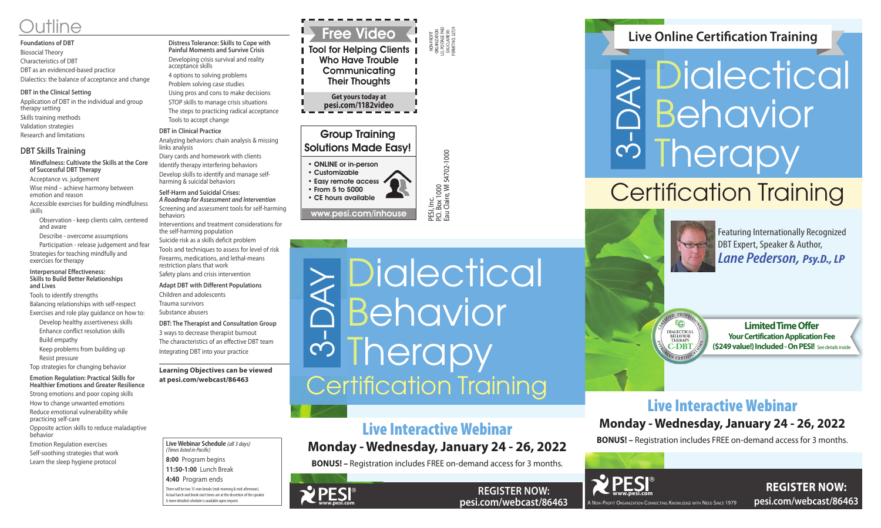NON-PROFIT ORGANIZATION U.S. POSTAGE PAID EAU CLAIRE WI PERMIT NO. 32729

PESI, Inc.<br>P.O. Box 1000<br>Eau Claire, Wl 54702-1000 P.O. Box 1000 Eau Claire, WI 54702-1000

## Group Training Solutions Made Easy!

• ONLINE or in-person • Customizable • Easy remote access • From 5 to 5000 • CE hours available

> **REGISTER NOW: pesi.com/webcast/86463**

www.pesi.com/inhouse

**Dialectical** Behavior **I** herapy  $\geq$  DICIECTICAI<br> **C** Behavior<br> **Certification Training** 



**REGISTER NOW: pesi.com/webcast/86463**



# Live Interactive Webinar

# **Monday - Wednesday, January 24 - 26, 2022**

**BONUS! –** Registration includes FREE on-demand access for 3 months.

**I** Tool for Helping Clients **I** Who Have Trouble **Communicating** Their Thoughts

# Live Interactive Webinar **Monday - Wednesday, January 24 - 26, 2022**

# $\mathcal{S}$ Dialectical Behavior **I** herapy Certification Training

ED PROFE Eg **DIALECTICAL** BEHAVIOR<br>THERAPY **C-DBT** EN CERTI

**BONUS! –** Registration includes FREE on-demand access for 3 months.

# **Live Online Certification Training**

**Limited Time Offer Your Certification Application Fee (\$249 value!) Included - On PESI!** See details inside

**Live Webinar Schedule** *(all 3 days)*

*(Times listed in Pacific)* **8:00** Program begins **11:50-1:00** Lunch Break **4:40** Program ends

# <u>utline Free Video</u>

There will be two 15-min breaks (mid-morning & mid-afternoon). Actual lunch and break start times are at the discretion of the speaker. A more detailed schedule is available upon request.

**Get yours today at pesi.com/1182video**

#### **Foundations of DBT** Biosocial Theory Characteristics of DBT DBT as an evidenced-based practice Dialectics: the balance of acceptance and change

#### **DBT in the Clinical Setting**

Application of DBT in the individual and group therapy setting Skills training methods Validation strategies Research and limitations

### **DBT Skills Training**

**Mindfulness: Cultivate the Skills at the Core of Successful DBT Therapy** 

Acceptance vs. judgement

Wise mind – achieve harmony between emotion and reason

Accessible exercises for building mindfulness skills

Observation - keep clients calm, centered and aware

Describe - overcome assumptions

Participation - release judgement and fear Strategies for teaching mindfully and exercises for therapy

#### **Interpersonal Effectiveness: Skills to Build Better Relationships and Lives**

Tools to identify strengths

Balancing relationships with self-respect Exercises and role play guidance on how to:

Develop healthy assertiveness skills

- Enhance conflict resolution skills
- Build empathy
- Keep problems from building up
- Resist pressure

Top strategies for changing behavior

#### **Emotion Regulation: Practical Skills for**

**Healthier Emotions and Greater Resilience** Strong emotions and poor coping skills How to change unwanted emotions Reduce emotional vulnerability while practicing self-care Opposite action skills to reduce maladaptive behavior Emotion Regulation exercises Self-soothing strategies that work

Learn the sleep hygiene protocol

**Distress Tolerance: Skills to Cope with Painful Moments and Survive Crisis** Developing crisis survival and reality acceptance skills 4 options to solving problems Problem solving case studies Using pros and cons to make decisions STOP skills to manage crisis situations The steps to practicing radical acceptance Tools to accept change **DBT in Clinical Practice**

#### Analyzing behaviors: chain analysis & missing links analysis

Diary cards and homework with clients Identify therapy interfering behaviors Develop skills to identify and manage selfharming & suicidal behaviors

**Self-Harm and Suicidal Crises:** *A Roadmap for Assessment and Intervention*

Screening and assessment tools for self-harming behaviors

Interventions and treatment considerations for the self-harming population

Suicide risk as a skills deficit problem Tools and techniques to assess for level of risk Firearms, medications, and lethal-means restriction plans that work Safety plans and crisis intervention

**Adapt DBT with Different Populations** Children and adolescents Trauma survivors

Substance abusers

**DBT: The Therapist and Consultation Group** 3 ways to decrease therapist burnout The characteristics of an effective DBT team Integrating DBT into your practice

**Learning Objectives can be viewed at pesi.com/webcast/86463**

Featuring Internationally Recognized DBT Expert, Speaker & Author, *Lane Pederson, Psy.D., LP*